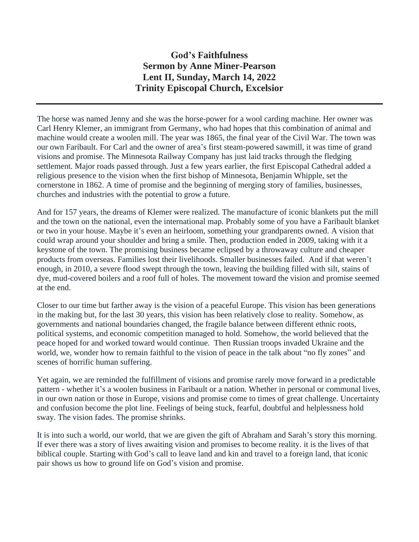## **God's Faithfulness Sermon by Anne Miner-Pearson Lent II, Sunday, March 14, 2022 Trinity Episcopal Church, Excelsior**

The horse was named Jenny and she was the horse-power for a wool carding machine. Her owner was Carl Henry Klemer, an immigrant from Germany, who had hopes that this combination of animal and machine would create a woolen mill. The year was 1865, the final year of the Civil War. The town was our own Faribault. For Carl and the owner of area's first steam-powered sawmill, it was time of grand visions and promise. The Minnesota Railway Company has just laid tracks through the fledging settlement. Major roads passed through. Just a few years earlier, the first Episcopal Cathedral added a religious presence to the vision when the first bishop of Minnesota, Benjamin Whipple, set the cornerstone in 1862. A time of promise and the beginning of merging story of families, businesses, churches and industries with the potential to grow a future.

And for 157 years, the dreams of Klemer were realized. The manufacture of iconic blankets put the mill and the town on the national, even the international map. Probably some of you have a Faribault blanket or two in your house. Maybe it's even an heirloom, something your grandparents owned. A vision that could wrap around your shoulder and bring a smile. Then, production ended in 2009, taking with it a keystone of the town. The promising business became eclipsed by a throwaway culture and cheaper products from overseas. Families lost their livelihoods. Smaller businesses failed. And if that weren't enough, in 2010, a severe flood swept through the town, leaving the building filled with silt, stains of dye, mud-covered boilers and a roof full of holes. The movement toward the vision and promise seemed at the end.

Closer to our time but farther away is the vision of a peaceful Europe. This vision has been generations in the making but, for the last 30 years, this vision has been relatively close to reality. Somehow, as governments and national boundaries changed, the fragile balance between different ethnic roots, political systems, and economic competition managed to hold. Somehow, the world believed that the peace hoped for and worked toward would continue. Then Russian troops invaded Ukraine and the world, we, wonder how to remain faithful to the vision of peace in the talk about "no fly zones" and scenes of horrific human suffering.

Yet again, we are reminded the fulfillment of visions and promise rarely move forward in a predictable pattern - whether it's a woolen business in Faribault or a nation. Whether in personal or communal lives, in our own nation or those in Europe, visions and promise come to times of great challenge. Uncertainty and confusion become the plot line. Feelings of being stuck, fearful, doubtful and helplessness hold sway. The vision fades. The promise shrinks.

It is into such a world, our world, that we are given the gift of Abraham and Sarah's story this morning. If ever there was a story of lives awaiting vision and promises to become reality. it is the lives of that biblical couple. Starting with God's call to leave land and kin and travel to a foreign land, that iconic pair shows us how to ground life on God's vision and promise.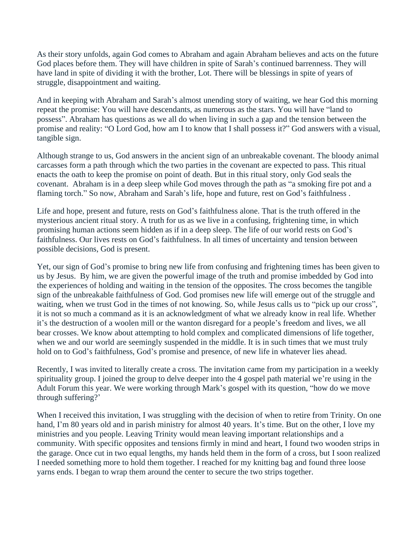As their story unfolds, again God comes to Abraham and again Abraham believes and acts on the future God places before them. They will have children in spite of Sarah's continued barrenness. They will have land in spite of dividing it with the brother, Lot. There will be blessings in spite of years of struggle, disappointment and waiting.

And in keeping with Abraham and Sarah's almost unending story of waiting, we hear God this morning repeat the promise: You will have descendants, as numerous as the stars. You will have "land to possess". Abraham has questions as we all do when living in such a gap and the tension between the promise and reality: "O Lord God, how am I to know that I shall possess it?" God answers with a visual, tangible sign.

Although strange to us, God answers in the ancient sign of an unbreakable covenant. The bloody animal carcasses form a path through which the two parties in the covenant are expected to pass. This ritual enacts the oath to keep the promise on point of death. But in this ritual story, only God seals the covenant. Abraham is in a deep sleep while God moves through the path as "a smoking fire pot and a flaming torch." So now, Abraham and Sarah's life, hope and future, rest on God's faithfulness .

Life and hope, present and future, rests on God's faithfulness alone. That is the truth offered in the mysterious ancient ritual story. A truth for us as we live in a confusing, frightening time, in which promising human actions seem hidden as if in a deep sleep. The life of our world rests on God's faithfulness. Our lives rests on God's faithfulness. In all times of uncertainty and tension between possible decisions, God is present.

Yet, our sign of God's promise to bring new life from confusing and frightening times has been given to us by Jesus. By him, we are given the powerful image of the truth and promise imbedded by God into the experiences of holding and waiting in the tension of the opposites. The cross becomes the tangible sign of the unbreakable faithfulness of God. God promises new life will emerge out of the struggle and waiting, when we trust God in the times of not knowing. So, while Jesus calls us to "pick up our cross", it is not so much a command as it is an acknowledgment of what we already know in real life. Whether it's the destruction of a woolen mill or the wanton disregard for a people's freedom and lives, we all bear crosses. We know about attempting to hold complex and complicated dimensions of life together, when we and our world are seemingly suspended in the middle. It is in such times that we must truly hold on to God's faithfulness, God's promise and presence, of new life in whatever lies ahead.

Recently, I was invited to literally create a cross. The invitation came from my participation in a weekly spirituality group. I joined the group to delve deeper into the 4 gospel path material we're using in the Adult Forum this year. We were working through Mark's gospel with its question, "how do we move through suffering?'

When I received this invitation, I was struggling with the decision of when to retire from Trinity. On one hand, I'm 80 years old and in parish ministry for almost 40 years. It's time. But on the other, I love my ministries and you people. Leaving Trinity would mean leaving important relationships and a community. With specific opposites and tensions firmly in mind and heart, I found two wooden strips in the garage. Once cut in two equal lengths, my hands held them in the form of a cross, but I soon realized I needed something more to hold them together. I reached for my knitting bag and found three loose yarns ends. I began to wrap them around the center to secure the two strips together.